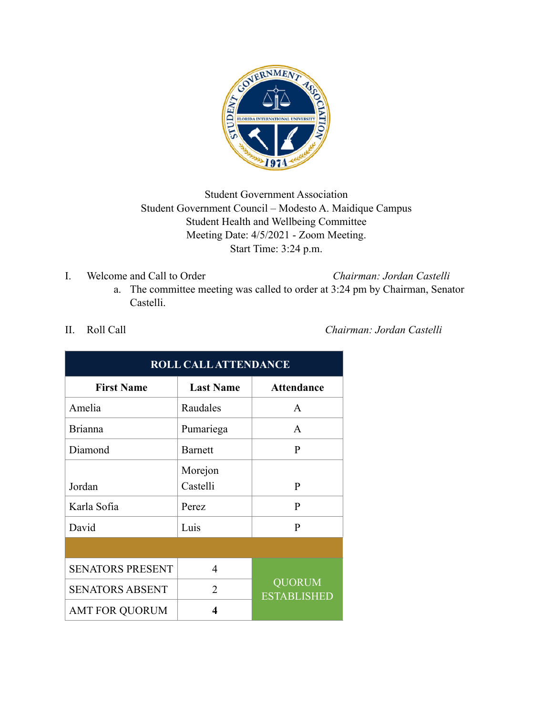

# Student Government Association Student Government Council – Modesto A. Maidique Campus Student Health and Wellbeing Committee Meeting Date: 4/5/2021 - Zoom Meeting. Start Time: 3:24 p.m.

I. Welcome and Call to Order *Chairman: Jordan Castelli*

a. The committee meeting was called to order at 3:24 pm by Chairman, Senator Castelli.

| <b>ROLL CALL ATTENDANCE</b> |                  |                                     |  |  |
|-----------------------------|------------------|-------------------------------------|--|--|
| <b>First Name</b>           | <b>Last Name</b> | <b>Attendance</b>                   |  |  |
| Amelia                      | Raudales         | A                                   |  |  |
| <b>Brianna</b>              | Pumariega        | A                                   |  |  |
| Diamond                     | <b>Barnett</b>   | P                                   |  |  |
|                             | Morejon          |                                     |  |  |
| Jordan                      | Castelli         | $\mathbf{P}$                        |  |  |
| Karla Sofia                 | Perez            | $\mathbf{P}$                        |  |  |
| David                       | Luis             | P                                   |  |  |
|                             |                  |                                     |  |  |
| <b>SENATORS PRESENT</b>     | 4                |                                     |  |  |
| <b>SENATORS ABSENT</b>      | $\overline{2}$   | <b>QUORUM</b><br><b>ESTABLISHED</b> |  |  |
| <b>AMT FOR QUORUM</b>       | 4                |                                     |  |  |

II. Roll Call *Chairman: Jordan Castelli*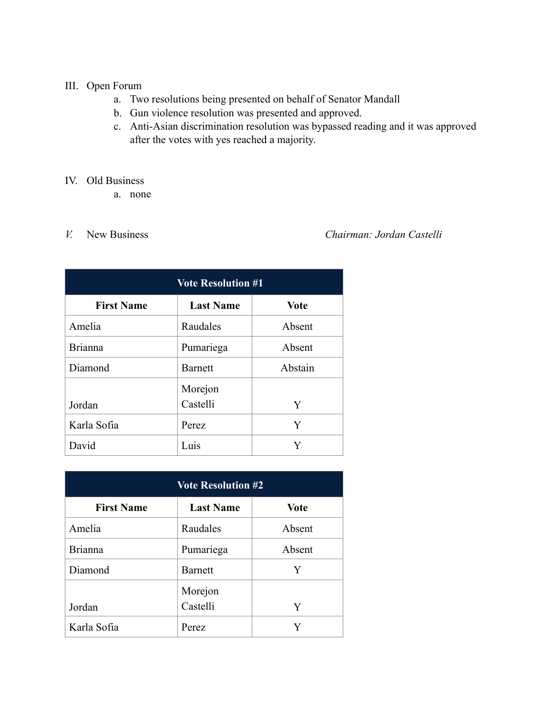## III. Open Forum

- a. Two resolutions being presented on behalf of Senator Mandall
- b. Gun violence resolution was presented and approved.
- c. Anti-Asian discrimination resolution was bypassed reading and it was approved after the votes with yes reached a majority.

### IV. Old Business

a. none

## *V.* New Business *Chairman: Jordan Castelli*

| <b>Vote Resolution #1</b> |                  |             |  |  |
|---------------------------|------------------|-------------|--|--|
| <b>First Name</b>         | <b>Last Name</b> | <b>Vote</b> |  |  |
| Amelia                    | Raudales         | Absent      |  |  |
| <b>Brianna</b>            | Pumariega        | Absent      |  |  |
| Diamond                   | Barnett          | Abstain     |  |  |
|                           | Morejon          |             |  |  |
| Jordan                    | Castelli         | Y           |  |  |
| Karla Sofia               | Perez            | Y           |  |  |
| David                     | Luis             | Y           |  |  |

| <b>Vote Resolution #2</b> |                  |             |  |  |
|---------------------------|------------------|-------------|--|--|
| <b>First Name</b>         | <b>Last Name</b> | <b>Vote</b> |  |  |
| Amelia                    | Raudales         | Absent      |  |  |
| <b>Brianna</b>            | Pumariega        | Absent      |  |  |
| Diamond                   | Barnett          | Y           |  |  |
|                           | Morejon          |             |  |  |
| Jordan                    | Castelli         | Y           |  |  |
| Karla Sofia               | <b>Perez</b>     |             |  |  |